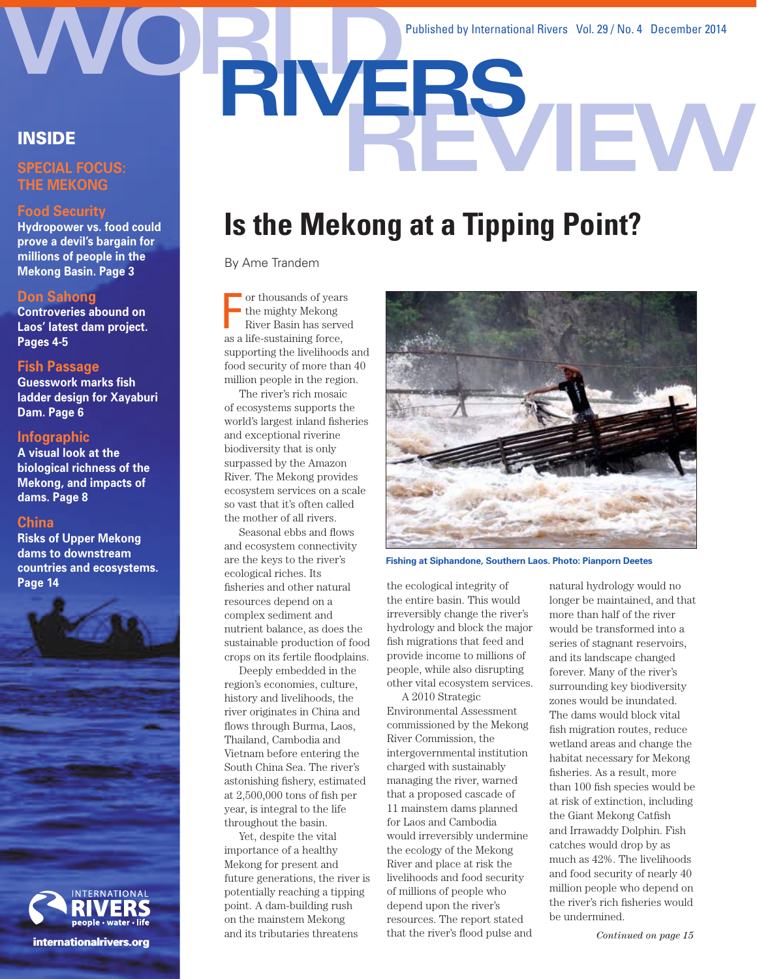**RIVERS** Published by International Rivers Vol. 29 / No. 4 December 2014

## **INSIDE**

#### **SPECIAL FOCUS: THE MEKONG**

#### **Food Security**

**Hydropower vs. food could prove a devil's bargain for millions of people in the Mekong Basin. Page 3**

#### **Don Sahong**

**Controveries abound on Laos' latest dam project. Pages 4-5**

#### **Fish Passage**

**Guesswork marks fish ladder design for Xayaburi Dam. Page 6**

#### **Infographic**

**A visual look at the biological richness of the Mekong, and impacts of dams. Page 8**

#### **China**

**Risks of Upper Mekong dams to downstream countries and ecosystems. Page 14**



#### **internationalrivers.org**

# **Is the Mekong at a Tipping Point?**

By Ame Trandem

or thousands of years<br>the mighty Mekong<br>River Basin has serve<br>as a life-sustaining force, or thousands of years the mighty Mekong River Basin has served supporting the livelihoods and food security of more than 40 million people in the region.

The river's rich mosaic of ecosystems supports the world's largest inland fisheries and exceptional riverine biodiversity that is only surpassed by the Amazon River. The Mekong provides ecosystem services on a scale so vast that it's often called the mother of all rivers.

Seasonal ebbs and flows and ecosystem connectivity are the keys to the river's ecological riches. Its fisheries and other natural resources depend on a complex sediment and nutrient balance, as does the sustainable production of food crops on its fertile floodplains.

Deeply embedded in the region's economies, culture, history and livelihoods, the river originates in China and flows through Burma, Laos, Thailand, Cambodia and Vietnam before entering the South China Sea. The river's astonishing fishery, estimated at 2,500,000 tons of fish per year, is integral to the life throughout the basin.

Yet, despite the vital importance of a healthy Mekong for present and future generations, the river is potentially reaching a tipping point. A dam-building rush on the mainstem Mekong and its tributaries threatens



**Fishing at Siphandone, Southern Laos. Photo: Pianporn Deetes**

the ecological integrity of the entire basin. This would irreversibly change the river's hydrology and block the major fish migrations that feed and provide income to millions of people, while also disrupting other vital ecosystem services.

A 2010 Strategic Environmental Assessment commissioned by the Mekong River Commission, the intergovernmental institution charged with sustainably managing the river, warned that a proposed cascade of 11 mainstem dams planned for Laos and Cambodia would irreversibly undermine the ecology of the Mekong River and place at risk the livelihoods and food security of millions of people who depend upon the river's resources. The report stated that the river's flood pulse and natural hydrology would no longer be maintained, and that more than half of the river would be transformed into a series of stagnant reservoirs, and its landscape changed forever. Many of the river's surrounding key biodiversity zones would be inundated. The dams would block vital fish migration routes, reduce wetland areas and change the habitat necessary for Mekong fisheries. As a result, more than 100 fish species would be at risk of extinction, including the Giant Mekong Catfish and Irrawaddy Dolphin. Fish catches would drop by as much as 42%. The livelihoods and food security of nearly 40 million people who depend on the river's rich fisheries would be undermined.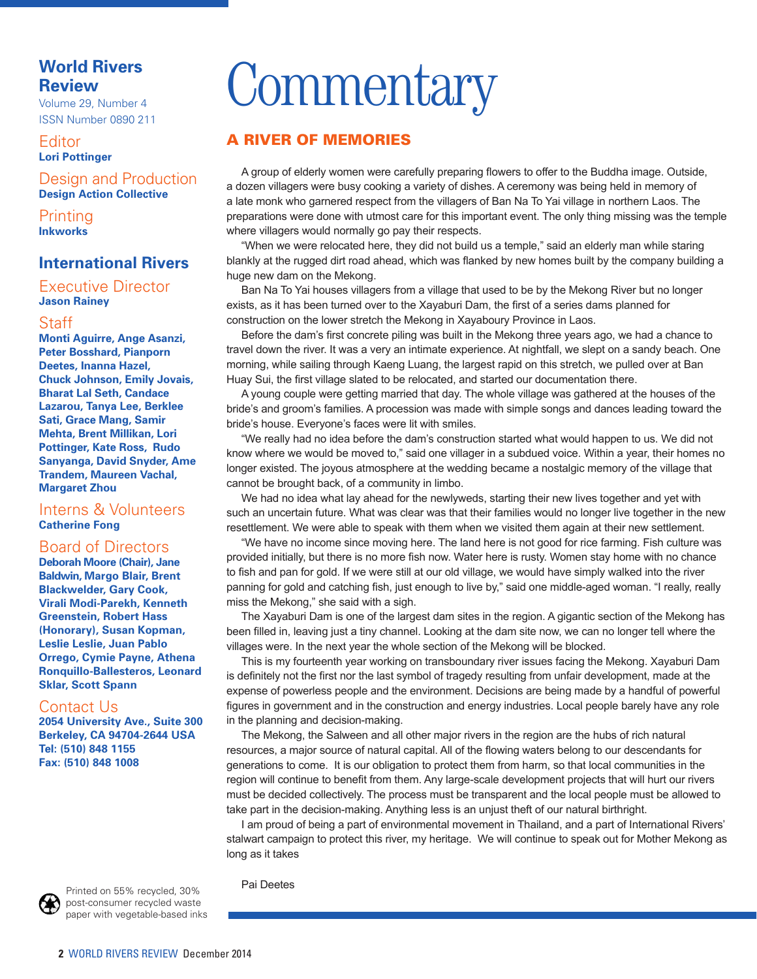## **World Rivers Review**

Volume 29, Number 4 ISSN Number 0890 211

**Editor Lori Pottinger**

Design and Production

**Design Action Collective**

Printing **Inkworks**

## **International Rivers**

Executive Director **Jason Rainey**

#### Staff

**Monti Aguirre, Ange Asanzi, Peter Bosshard, Pianporn Deetes, Inanna Hazel, Chuck Johnson, Emily Jovais, Bharat Lal Seth, Candace Lazarou, Tanya Lee, Berklee Sati, Grace Mang, Samir Mehta, Brent Millikan, Lori Pottinger, Kate Ross, Rudo Sanyanga, David Snyder, Ame Trandem, Maureen Vachal, Margaret Zhou**

#### Interns & Volunteers **Catherine Fong**

### Board of Directors

**Deborah Moore (Chair), Jane Baldwin, Margo Blair, Brent Blackwelder, Gary Cook, Virali Modi-Parekh, Kenneth Greenstein, Robert Hass (Honorary), Susan Kopman, Leslie Leslie, Juan Pablo Orrego, Cymie Payne, Athena Ronquillo-Ballesteros, Leonard Sklar, Scott Spann**

#### Contact Us

**2054 University Ave., Suite 300 Berkeley, CA 94704-2644 USA Tel: (510) 848 1155 Fax: (510) 848 1008**

# **Commentary**

### A RIVER OF MEMORIES

A group of elderly women were carefully preparing fowers to offer to the Buddha image. Outside, a dozen villagers were busy cooking a variety of dishes. A ceremony was being held in memory of a late monk who garnered respect from the villagers of Ban Na To Yai village in northern Laos. The preparations were done with utmost care for this important event. The only thing missing was the temple where villagers would normally go pay their respects.

"When we were relocated here, they did not build us a temple," said an elderly man while staring blankly at the rugged dirt road ahead, which was fanked by new homes built by the company building a huge new dam on the Mekong.

Ban Na To Yai houses villagers from a village that used to be by the Mekong River but no longer exists, as it has been turned over to the Xayaburi Dam, the first of a series dams planned for construction on the lower stretch the Mekong in Xayaboury Province in Laos.

Before the dam's frst concrete piling was built in the Mekong three years ago, we had a chance to travel down the river. It was a very an intimate experience. At nightfall, we slept on a sandy beach. One morning, while sailing through Kaeng Luang, the largest rapid on this stretch, we pulled over at Ban Huay Sui, the frst village slated to be relocated, and started our documentation there.

A young couple were getting married that day. The whole village was gathered at the houses of the bride's and groom's families. A procession was made with simple songs and dances leading toward the bride's house. Everyone's faces were lit with smiles.

"We really had no idea before the dam's construction started what would happen to us. We did not know where we would be moved to," said one villager in a subdued voice. Within a year, their homes no longer existed. The joyous atmosphere at the wedding became a nostalgic memory of the village that cannot be brought back, of a community in limbo.

We had no idea what lay ahead for the newlyweds, starting their new lives together and yet with such an uncertain future. What was clear was that their families would no longer live together in the new resettlement. We were able to speak with them when we visited them again at their new settlement.

"We have no income since moving here. The land here is not good for rice farming. Fish culture was provided initially, but there is no more fsh now. Water here is rusty. Women stay home with no chance to fish and pan for gold. If we were still at our old village, we would have simply walked into the river panning for gold and catching fsh, just enough to live by," said one middle-aged woman. "I really, really miss the Mekong," she said with a sigh.

The Xayaburi Dam is one of the largest dam sites in the region. A gigantic section of the Mekong has been flled in, leaving just a tiny channel. Looking at the dam site now, we can no longer tell where the villages were. In the next year the whole section of the Mekong will be blocked.

This is my fourteenth year working on transboundary river issues facing the Mekong. Xayaburi Dam is defnitely not the frst nor the last symbol of tragedy resulting from unfair development, made at the expense of powerless people and the environment. Decisions are being made by a handful of powerful fgures in government and in the construction and energy industries. Local people barely have any role in the planning and decision-making.

The Mekong, the Salween and all other major rivers in the region are the hubs of rich natural resources, a major source of natural capital. All of the fowing waters belong to our descendants for generations to come. It is our obligation to protect them from harm, so that local communities in the region will continue to beneft from them. Any large-scale development projects that will hurt our rivers must be decided collectively. The process must be transparent and the local people must be allowed to take part in the decision-making. Anything less is an unjust theft of our natural birthright.

I am proud of being a part of environmental movement in Thailand, and a part of International Rivers' stalwart campaign to protect this river, my heritage. We will continue to speak out for Mother Mekong as long as it takes

Pai Deetes



paper with vegetable-based inks

Printed on 55% recycled, 30% post-consumer recycled waste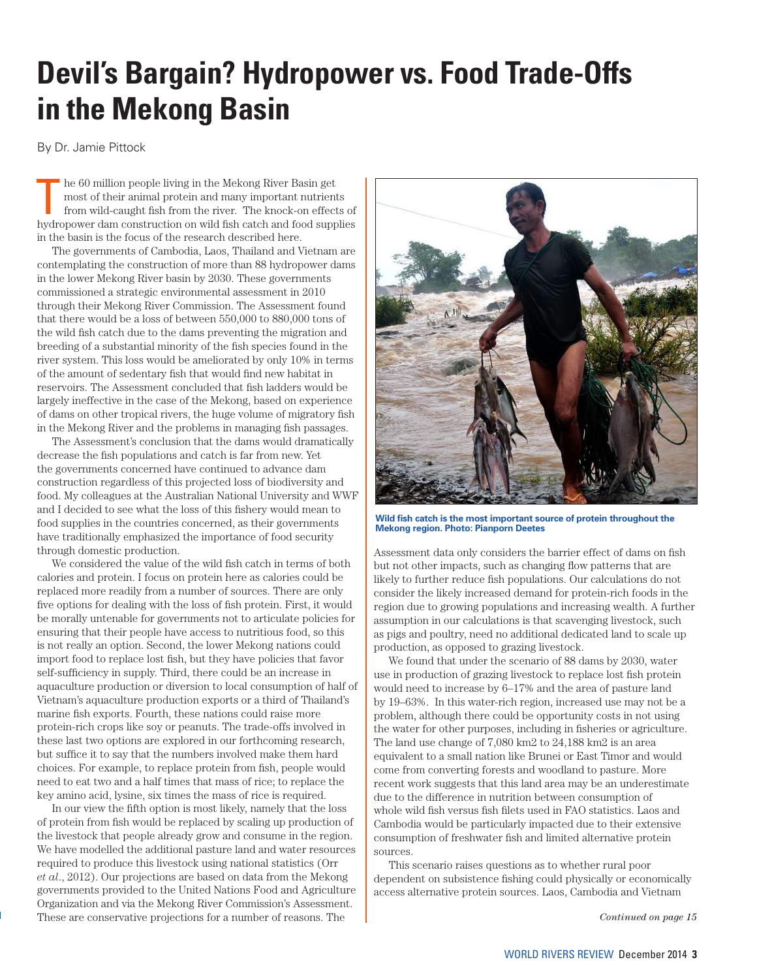# **Devil's Bargain? Hydropower vs. Food Trade-Offs in the Mekong Basin**

By Dr. Jamie Pittock

The 60 million people living in the Mekong River Basin get<br>most of their animal protein and many important nutrient<br>from wild-caught fish from the river. The knock-on effect<br>hydropower dam construction on wild fish osteh a most of their animal protein and many important nutrients from wild-caught fish from the river. The knock-on effects of hydropower dam construction on wild fish catch and food supplies in the basin is the focus of the research described here.

The governments of Cambodia, Laos, Thailand and Vietnam are contemplating the construction of more than 88 hydropower dams in the lower Mekong River basin by 2030. These governments commissioned a strategic environmental assessment in 2010 through their Mekong River Commission. The Assessment found that there would be a loss of between 550,000 to 880,000 tons of the wild fish catch due to the dams preventing the migration and breeding of a substantial minority of the fish species found in the river system. This loss would be ameliorated by only 10% in terms of the amount of sedentary fish that would find new habitat in reservoirs. The Assessment concluded that fish ladders would be largely ineffective in the case of the Mekong, based on experience of dams on other tropical rivers, the huge volume of migratory fish in the Mekong River and the problems in managing fish passages.

The Assessment's conclusion that the dams would dramatically decrease the fish populations and catch is far from new. Yet the governments concerned have continued to advance dam construction regardless of this projected loss of biodiversity and food. My colleagues at the Australian National University and WWF and I decided to see what the loss of this fishery would mean to food supplies in the countries concerned, as their governments have traditionally emphasized the importance of food security through domestic production.

We considered the value of the wild fish catch in terms of both calories and protein. I focus on protein here as calories could be replaced more readily from a number of sources. There are only five options for dealing with the loss of fish protein. First, it would be morally untenable for governments not to articulate policies for ensuring that their people have access to nutritious food, so this is not really an option. Second, the lower Mekong nations could import food to replace lost fish, but they have policies that favor self-sufficiency in supply. Third, there could be an increase in aquaculture production or diversion to local consumption of half of Vietnam's aquaculture production exports or a third of Thailand's marine fish exports. Fourth, these nations could raise more protein-rich crops like soy or peanuts. The trade-offs involved in these last two options are explored in our forthcoming research, but suffice it to say that the numbers involved make them hard choices. For example, to replace protein from fish, people would need to eat two and a half times that mass of rice; to replace the key amino acid, lysine, six times the mass of rice is required.

In our view the fifth option is most likely, namely that the loss of protein from fish would be replaced by scaling up production of the livestock that people already grow and consume in the region. We have modelled the additional pasture land and water resources required to produce this livestock using national statistics (Orr *et al*., 2012). Our projections are based on data from the Mekong governments provided to the United Nations Food and Agriculture Organization and via the Mekong River Commission's Assessment. These are conservative projections for a number of reasons. The



**Wild fish catch is the most important source of protein throughout the Mekong region. Photo: Pianporn Deetes**

Assessment data only considers the barrier effect of dams on fish but not other impacts, such as changing flow patterns that are likely to further reduce fish populations. Our calculations do not consider the likely increased demand for protein-rich foods in the region due to growing populations and increasing wealth. A further assumption in our calculations is that scavenging livestock, such as pigs and poultry, need no additional dedicated land to scale up production, as opposed to grazing livestock.

We found that under the scenario of 88 dams by 2030, water use in production of grazing livestock to replace lost fish protein would need to increase by 6–17% and the area of pasture land by 19–63%. In this water-rich region, increased use may not be a problem, although there could be opportunity costs in not using the water for other purposes, including in fisheries or agriculture. The land use change of 7,080 km2 to 24,188 km2 is an area equivalent to a small nation like Brunei or East Timor and would come from converting forests and woodland to pasture. More recent work suggests that this land area may be an underestimate due to the difference in nutrition between consumption of whole wild fish versus fish filets used in FAO statistics. Laos and Cambodia would be particularly impacted due to their extensive consumption of freshwater fish and limited alternative protein sources.

This scenario raises questions as to whether rural poor dependent on subsistence fishing could physically or economically access alternative protein sources. Laos, Cambodia and Vietnam

*Continued on page 15*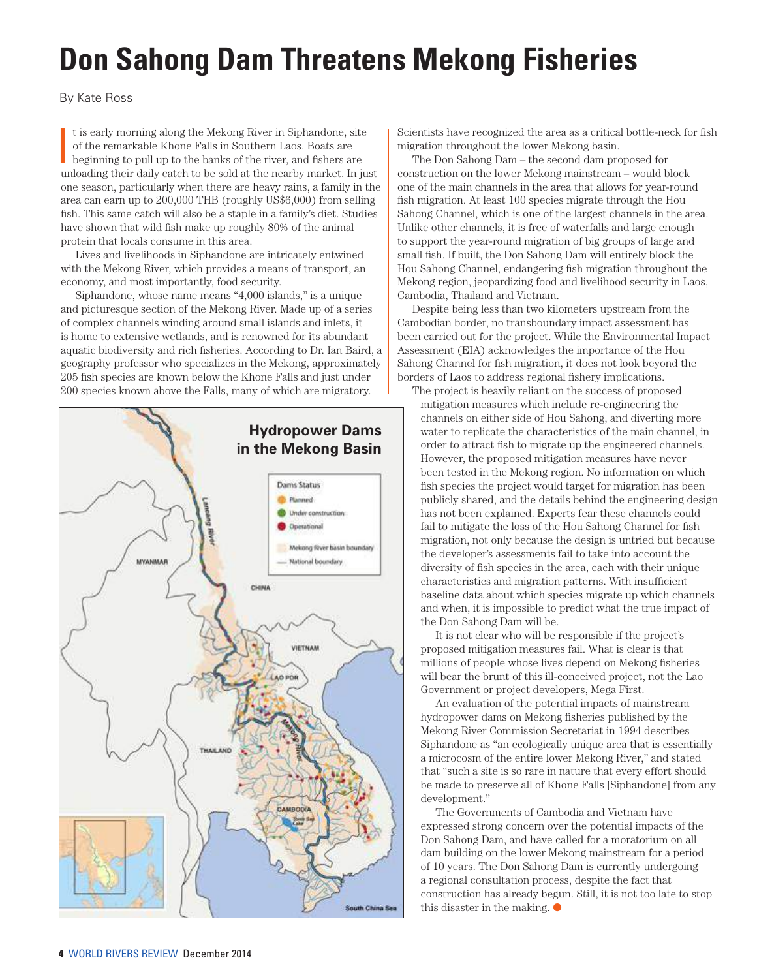# **Don Sahong Dam Threatens Mekong Fisheries**

By Kate Ross

It is early morning along the Mekong River in Siphandone, site<br>of the remarkable Khone Falls in Southern Laos. Boats are<br>beginning to pull up to the banks of the river, and fishers are<br>unloading their daily catch to be sol t is early morning along the Mekong River in Siphandone, site of the remarkable Khone Falls in Southern Laos. Boats are beginning to pull up to the banks of the river, and fishers are one season, particularly when there are heavy rains, a family in the area can earn up to 200,000 THB (roughly US\$6,000) from selling fish. This same catch will also be a staple in a family's diet. Studies have shown that wild fish make up roughly 80% of the animal protein that locals consume in this area.

Lives and livelihoods in Siphandone are intricately entwined with the Mekong River, which provides a means of transport, an economy, and most importantly, food security.

Siphandone, whose name means "4,000 islands," is a unique and picturesque section of the Mekong River. Made up of a series of complex channels winding around small islands and inlets, it is home to extensive wetlands, and is renowned for its abundant aquatic biodiversity and rich fisheries. According to Dr. Ian Baird, a geography professor who specializes in the Mekong, approximately 205 fish species are known below the Khone Falls and just under 200 species known above the Falls, many of which are migratory.



Scientists have recognized the area as a critical bottle-neck for fish migration throughout the lower Mekong basin.

The Don Sahong Dam – the second dam proposed for construction on the lower Mekong mainstream – would block one of the main channels in the area that allows for year-round fish migration. At least 100 species migrate through the Hou Sahong Channel, which is one of the largest channels in the area. Unlike other channels, it is free of waterfalls and large enough to support the year-round migration of big groups of large and small fish. If built, the Don Sahong Dam will entirely block the Hou Sahong Channel, endangering fish migration throughout the Mekong region, jeopardizing food and livelihood security in Laos, Cambodia, Thailand and Vietnam.

Despite being less than two kilometers upstream from the Cambodian border, no transboundary impact assessment has been carried out for the project. While the Environmental Impact Assessment (EIA) acknowledges the importance of the Hou Sahong Channel for fish migration, it does not look beyond the borders of Laos to address regional fishery implications.

The project is heavily reliant on the success of proposed mitigation measures which include re-engineering the channels on either side of Hou Sahong, and diverting more water to replicate the characteristics of the main channel, in order to attract fish to migrate up the engineered channels. However, the proposed mitigation measures have never been tested in the Mekong region. No information on which fish species the project would target for migration has been publicly shared, and the details behind the engineering design has not been explained. Experts fear these channels could fail to mitigate the loss of the Hou Sahong Channel for fish migration, not only because the design is untried but because the developer's assessments fail to take into account the diversity of fish species in the area, each with their unique characteristics and migration patterns. With insufficient baseline data about which species migrate up which channels and when, it is impossible to predict what the true impact of the Don Sahong Dam will be.

It is not clear who will be responsible if the project's proposed mitigation measures fail. What is clear is that millions of people whose lives depend on Mekong fisheries will bear the brunt of this ill-conceived project, not the Lao Government or project developers, Mega First.

An evaluation of the potential impacts of mainstream hydropower dams on Mekong fisheries published by the Mekong River Commission Secretariat in 1994 describes Siphandone as "an ecologically unique area that is essentially a microcosm of the entire lower Mekong River," and stated that "such a site is so rare in nature that every effort should be made to preserve all of Khone Falls [Siphandone] from any development."

The Governments of Cambodia and Vietnam have expressed strong concern over the potential impacts of the Don Sahong Dam, and have called for a moratorium on all dam building on the lower Mekong mainstream for a period of 10 years. The Don Sahong Dam is currently undergoing a regional consultation process, despite the fact that construction has already begun. Still, it is not too late to stop this disaster in the making.  $\bullet$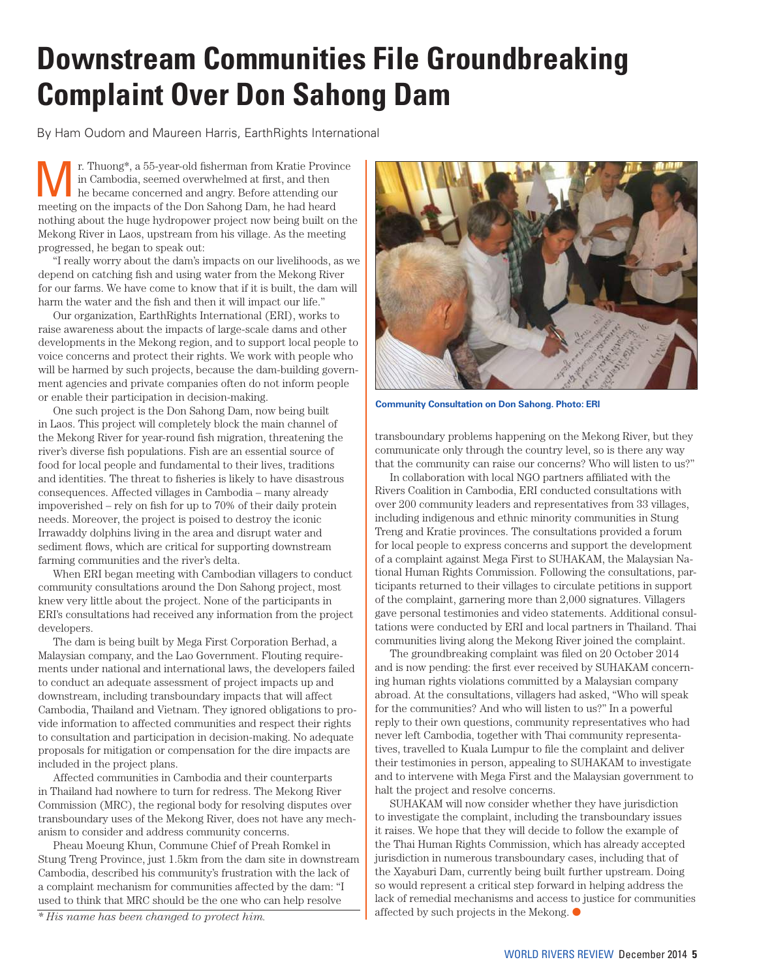# **Downstream Communities File Groundbreaking Complaint Over Don Sahong Dam**

By Ham Oudom and Maureen Harris, EarthRights International

**Mr.** Thuong\*, a 55-year-old fisherman from Kratie Province<br>
he became concerned and angry. Before attending our<br>
meeting on the impects of the Den Sabang Dam, he had beard in Cambodia, seemed overwhelmed at first, and then meeting on the impacts of the Don Sahong Dam, he had heard nothing about the huge hydropower project now being built on the Mekong River in Laos, upstream from his village. As the meeting progressed, he began to speak out:

"I really worry about the dam's impacts on our livelihoods, as we depend on catching fish and using water from the Mekong River for our farms. We have come to know that if it is built, the dam will harm the water and the fish and then it will impact our life."

Our organization, EarthRights International (ERI), works to raise awareness about the impacts of large-scale dams and other developments in the Mekong region, and to support local people to voice concerns and protect their rights. We work with people who will be harmed by such projects, because the dam-building government agencies and private companies often do not inform people or enable their participation in decision-making.

One such project is the Don Sahong Dam, now being built in Laos. This project will completely block the main channel of the Mekong River for year-round fish migration, threatening the river's diverse fish populations. Fish are an essential source of food for local people and fundamental to their lives, traditions and identities. The threat to fisheries is likely to have disastrous consequences. Affected villages in Cambodia – many already impoverished – rely on fish for up to 70% of their daily protein needs. Moreover, the project is poised to destroy the iconic Irrawaddy dolphins living in the area and disrupt water and sediment flows, which are critical for supporting downstream farming communities and the river's delta.

When ERI began meeting with Cambodian villagers to conduct community consultations around the Don Sahong project, most knew very little about the project. None of the participants in ERI's consultations had received any information from the project developers.

The dam is being built by Mega First Corporation Berhad, a Malaysian company, and the Lao Government. Flouting requirements under national and international laws, the developers failed to conduct an adequate assessment of project impacts up and downstream, including transboundary impacts that will affect Cambodia, Thailand and Vietnam. They ignored obligations to provide information to affected communities and respect their rights to consultation and participation in decision-making. No adequate proposals for mitigation or compensation for the dire impacts are included in the project plans.

Affected communities in Cambodia and their counterparts in Thailand had nowhere to turn for redress. The Mekong River Commission (MRC), the regional body for resolving disputes over transboundary uses of the Mekong River, does not have any mechanism to consider and address community concerns.

Pheau Moeung Khun, Commune Chief of Preah Romkel in Stung Treng Province, just 1.5km from the dam site in downstream Cambodia, described his community's frustration with the lack of a complaint mechanism for communities affected by the dam: "I used to think that MRC should be the one who can help resolve

*\* His name has been changed to protect him.* 



**Community Consultation on Don Sahong. Photo: ERI**

transboundary problems happening on the Mekong River, but they communicate only through the country level, so is there any way that the community can raise our concerns? Who will listen to us?"

In collaboration with local NGO partners affiliated with the Rivers Coalition in Cambodia, ERI conducted consultations with over 200 community leaders and representatives from 33 villages, including indigenous and ethnic minority communities in Stung Treng and Kratie provinces. The consultations provided a forum for local people to express concerns and support the development of a complaint against Mega First to SUHAKAM, the Malaysian National Human Rights Commission. Following the consultations, participants returned to their villages to circulate petitions in support of the complaint, garnering more than 2,000 signatures. Villagers gave personal testimonies and video statements. Additional consultations were conducted by ERI and local partners in Thailand. Thai communities living along the Mekong River joined the complaint.

The groundbreaking complaint was filed on 20 October 2014 and is now pending: the first ever received by SUHAKAM concerning human rights violations committed by a Malaysian company abroad. At the consultations, villagers had asked, "Who will speak for the communities? And who will listen to us?" In a powerful reply to their own questions, community representatives who had never left Cambodia, together with Thai community representatives, travelled to Kuala Lumpur to file the complaint and deliver their testimonies in person, appealing to SUHAKAM to investigate and to intervene with Mega First and the Malaysian government to halt the project and resolve concerns.

SUHAKAM will now consider whether they have jurisdiction to investigate the complaint, including the transboundary issues it raises. We hope that they will decide to follow the example of the Thai Human Rights Commission, which has already accepted jurisdiction in numerous transboundary cases, including that of the Xayaburi Dam, currently being built further upstream. Doing so would represent a critical step forward in helping address the lack of remedial mechanisms and access to justice for communities affected by such projects in the Mekong.  $\bullet$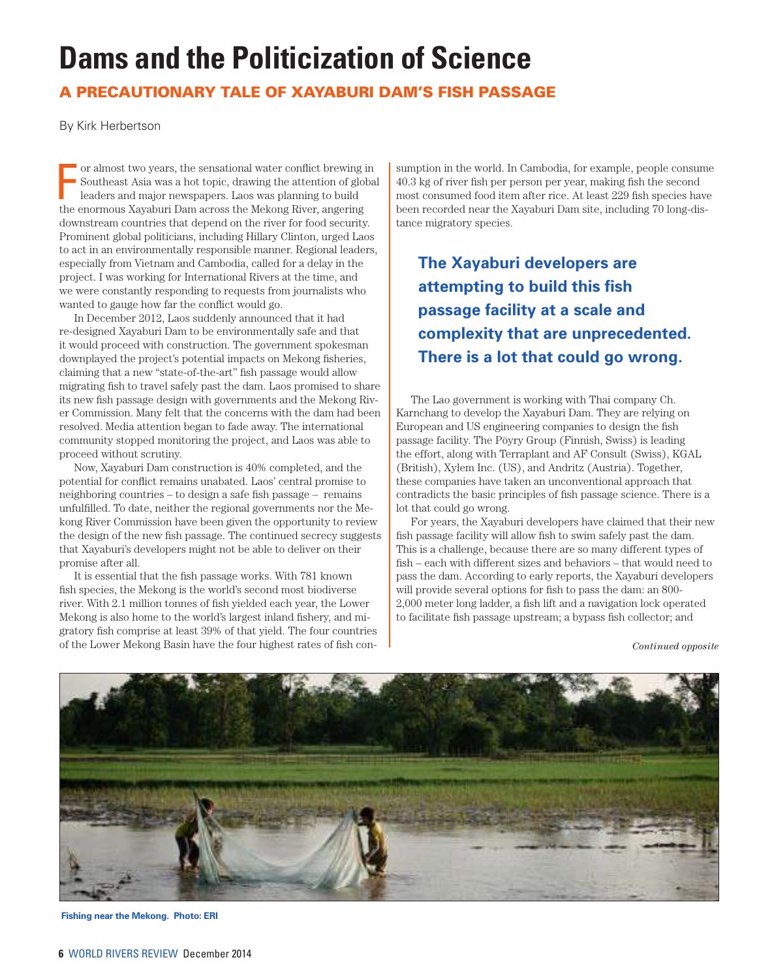# **Dams and the Politicization of Science**

## A PRECAUTIONARY TALE OF XAYABURI DAM'S FISH PASSAGE

By Kirk Herbertson

For almost two years, the sensational water conflict brewing is Southeast Asia was a hot topic, drawing the attention of globaleaders and major newspapers. Laos was planning to build the enormous Xayaburi Dam across the Me or almost two years, the sensational water conflict brewing in Southeast Asia was a hot topic, drawing the attention of global leaders and major newspapers. Laos was planning to build downstream countries that depend on the river for food security. Prominent global politicians, including Hillary Clinton, urged Laos to act in an environmentally responsible manner. Regional leaders, especially from Vietnam and Cambodia, called for a delay in the project. I was working for International Rivers at the time, and we were constantly responding to requests from journalists who wanted to gauge how far the conflict would go.

In December 2012, Laos suddenly announced that it had re-designed Xayaburi Dam to be environmentally safe and that it would proceed with construction. The government spokesman downplayed the project's potential impacts on Mekong fisheries, claiming that a new "state-of-the-art" fish passage would allow migrating fish to travel safely past the dam. Laos promised to share its new fish passage design with governments and the Mekong River Commission. Many felt that the concerns with the dam had been resolved. Media attention began to fade away. The international community stopped monitoring the project, and Laos was able to proceed without scrutiny.

Now, Xayaburi Dam construction is 40% completed, and the potential for conflict remains unabated. Laos' central promise to neighboring countries – to design a safe fish passage – remains unfulfilled. To date, neither the regional governments nor the Mekong River Commission have been given the opportunity to review the design of the new fish passage. The continued secrecy suggests that Xayaburi's developers might not be able to deliver on their promise after all.

It is essential that the fish passage works. With 781 known fish species, the Mekong is the world's second most biodiverse river. With 2.1 million tonnes of fish yielded each year, the Lower Mekong is also home to the world's largest inland fishery, and migratory fish comprise at least 39% of that yield. The four countries of the Lower Mekong Basin have the four highest rates of fish consumption in the world. In Cambodia, for example, people consume 40.3 kg of river fish per person per year, making fish the second most consumed food item after rice. At least 229 fish species have been recorded near the Xayaburi Dam site, including 70 long-distance migratory species.

**The Xayaburi developers are attempting to build this fish passage facility at a scale and complexity that are unprecedented. There is a lot that could go wrong.**

The Lao government is working with Thai company Ch. Karnchang to develop the Xayaburi Dam. They are relying on European and US engineering companies to design the fish passage facility. The Pöyry Group (Finnish, Swiss) is leading the effort, along with Terraplant and AF Consult (Swiss), KGAL (British), Xylem Inc. (US), and Andritz (Austria). Together, these companies have taken an unconventional approach that contradicts the basic principles of fish passage science. There is a lot that could go wrong.

For years, the Xayaburi developers have claimed that their new fish passage facility will allow fish to swim safely past the dam. This is a challenge, because there are so many different types of fish – each with different sizes and behaviors – that would need to pass the dam. According to early reports, the Xayaburi developers will provide several options for fish to pass the dam: an 800- 2,000 meter long ladder, a fish lift and a navigation lock operated to facilitate fish passage upstream; a bypass fish collector; and

*Continued opposite*



**Fishing near the Mekong. Photo: ERI**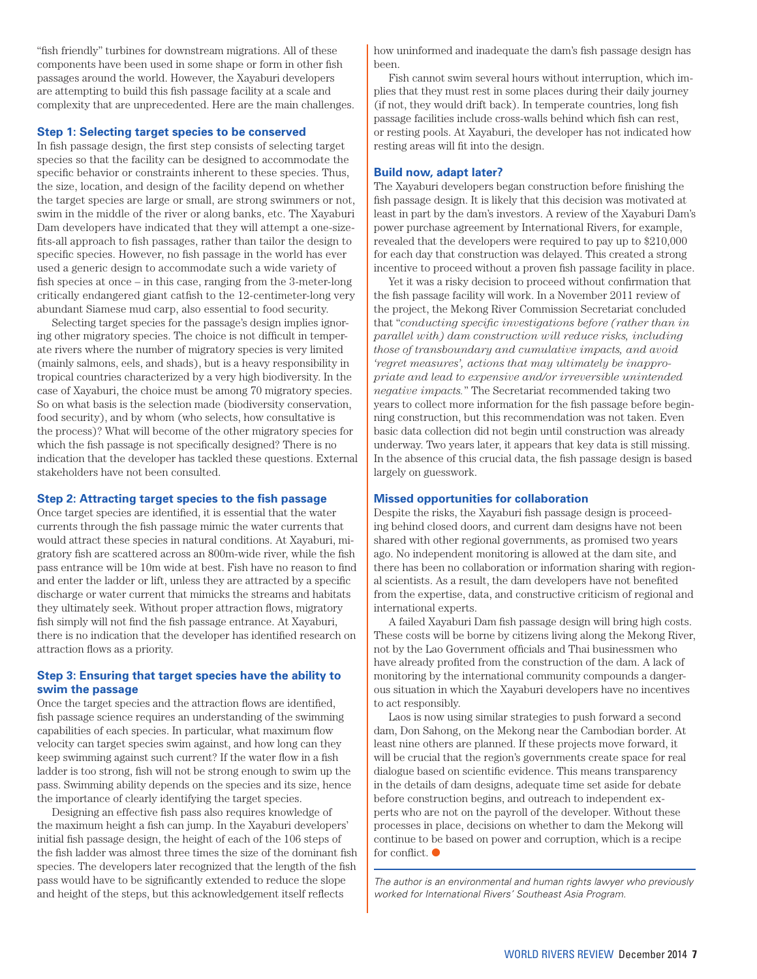"fish friendly" turbines for downstream migrations. All of these components have been used in some shape or form in other fish passages around the world. However, the Xayaburi developers are attempting to build this fish passage facility at a scale and complexity that are unprecedented. Here are the main challenges.

#### **Step 1: Selecting target species to be conserved**

In fish passage design, the first step consists of selecting target species so that the facility can be designed to accommodate the specific behavior or constraints inherent to these species. Thus, the size, location, and design of the facility depend on whether the target species are large or small, are strong swimmers or not, swim in the middle of the river or along banks, etc. The Xayaburi Dam developers have indicated that they will attempt a one-sizefits-all approach to fish passages, rather than tailor the design to specific species. However, no fish passage in the world has ever used a generic design to accommodate such a wide variety of fish species at once – in this case, ranging from the 3-meter-long critically endangered giant catfish to the 12-centimeter-long very abundant Siamese mud carp, also essential to food security.

Selecting target species for the passage's design implies ignoring other migratory species. The choice is not difficult in temperate rivers where the number of migratory species is very limited (mainly salmons, eels, and shads), but is a heavy responsibility in tropical countries characterized by a very high biodiversity. In the case of Xayaburi, the choice must be among 70 migratory species. So on what basis is the selection made (biodiversity conservation, food security), and by whom (who selects, how consultative is the process)? What will become of the other migratory species for which the fish passage is not specifically designed? There is no indication that the developer has tackled these questions. External stakeholders have not been consulted.

#### **Step 2: Attracting target species to the fish passage**

Once target species are identified, it is essential that the water currents through the fish passage mimic the water currents that would attract these species in natural conditions. At Xayaburi, migratory fish are scattered across an 800m-wide river, while the fish pass entrance will be 10m wide at best. Fish have no reason to find and enter the ladder or lift, unless they are attracted by a specific discharge or water current that mimicks the streams and habitats they ultimately seek. Without proper attraction flows, migratory fish simply will not find the fish passage entrance. At Xayaburi, there is no indication that the developer has identified research on attraction flows as a priority.

#### **Step 3: Ensuring that target species have the ability to swim the passage**

Once the target species and the attraction flows are identified, fish passage science requires an understanding of the swimming capabilities of each species. In particular, what maximum flow velocity can target species swim against, and how long can they keep swimming against such current? If the water flow in a fish ladder is too strong, fish will not be strong enough to swim up the pass. Swimming ability depends on the species and its size, hence the importance of clearly identifying the target species.

Designing an effective fish pass also requires knowledge of the maximum height a fish can jump. In the Xayaburi developers' initial fish passage design, the height of each of the 106 steps of the fish ladder was almost three times the size of the dominant fish species. The developers later recognized that the length of the fish pass would have to be significantly extended to reduce the slope and height of the steps, but this acknowledgement itself reflects

how uninformed and inadequate the dam's fish passage design has been.

Fish cannot swim several hours without interruption, which implies that they must rest in some places during their daily journey (if not, they would drift back). In temperate countries, long fish passage facilities include cross-walls behind which fish can rest, or resting pools. At Xayaburi, the developer has not indicated how resting areas will fit into the design.

#### **Build now, adapt later?**

The Xayaburi developers began construction before finishing the fish passage design. It is likely that this decision was motivated at least in part by the dam's investors. A review of the Xayaburi Dam's power purchase agreement by International Rivers, for example, revealed that the developers were required to pay up to \$210,000 for each day that construction was delayed. This created a strong incentive to proceed without a proven fish passage facility in place.

Yet it was a risky decision to proceed without confirmation that the fish passage facility will work. In a November 2011 review of the project, the Mekong River Commission Secretariat concluded that "*conducting specific investigations before (rather than in parallel with) dam construction will reduce risks, including those of transboundary and cumulative impacts, and avoid 'regret measures', actions that may ultimately be inappropriate and lead to expensive and/or irreversible unintended negative impacts.*" The Secretariat recommended taking two years to collect more information for the fish passage before beginning construction, but this recommendation was not taken. Even basic data collection did not begin until construction was already underway. Two years later, it appears that key data is still missing. In the absence of this crucial data, the fish passage design is based largely on guesswork.

#### **Missed opportunities for collaboration**

Despite the risks, the Xayaburi fish passage design is proceeding behind closed doors, and current dam designs have not been shared with other regional governments, as promised two years ago. No independent monitoring is allowed at the dam site, and there has been no collaboration or information sharing with regional scientists. As a result, the dam developers have not benefited from the expertise, data, and constructive criticism of regional and international experts.

A failed Xayaburi Dam fish passage design will bring high costs. These costs will be borne by citizens living along the Mekong River, not by the Lao Government officials and Thai businessmen who have already profited from the construction of the dam. A lack of monitoring by the international community compounds a dangerous situation in which the Xayaburi developers have no incentives to act responsibly.

Laos is now using similar strategies to push forward a second dam, Don Sahong, on the Mekong near the Cambodian border. At least nine others are planned. If these projects move forward, it will be crucial that the region's governments create space for real dialogue based on scientific evidence. This means transparency in the details of dam designs, adequate time set aside for debate before construction begins, and outreach to independent experts who are not on the payroll of the developer. Without these processes in place, decisions on whether to dam the Mekong will continue to be based on power and corruption, which is a recipe for conflict.  $\bullet$ 

The author is an environmental and human rights lawyer who previously worked for International Rivers' Southeast Asia Program.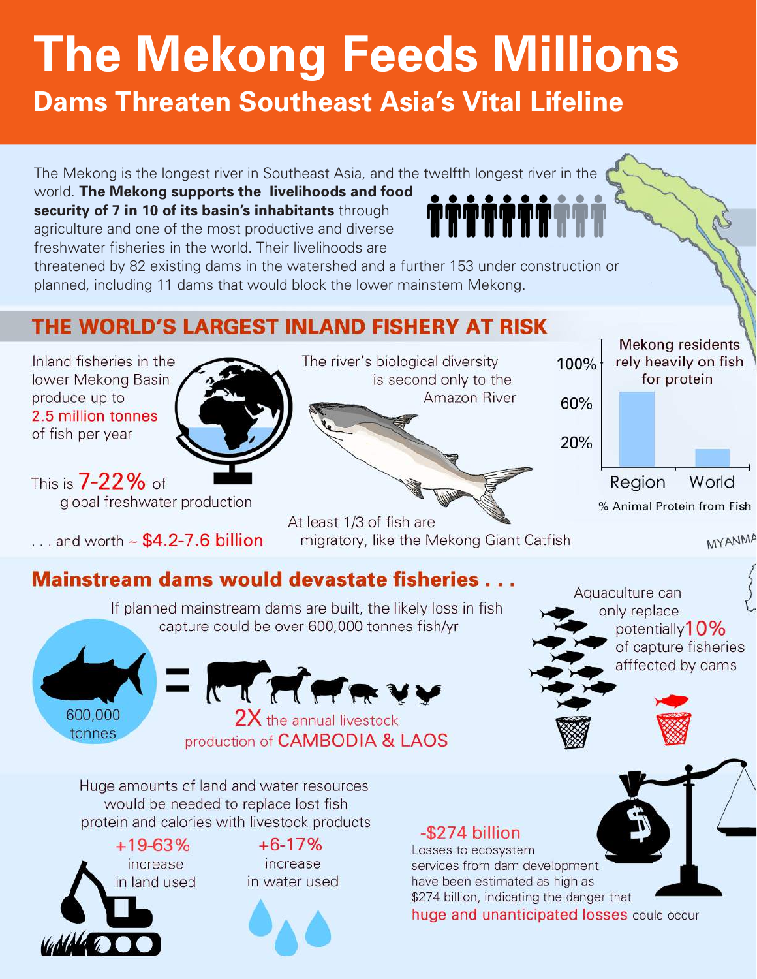# **The Mekong Feeds Millions**

**Dams Threaten Southeast Asia's Vital Lifeline**

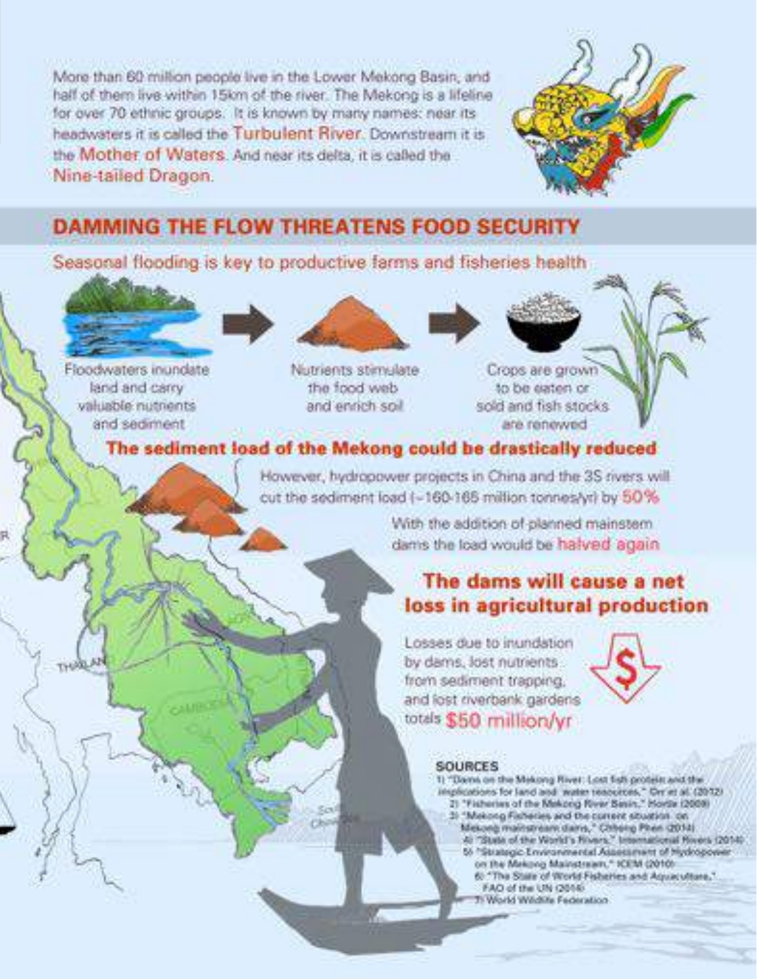More than 60 million people live in the Lower Mekong Basin, and half of them live within 15km of the river. The Mekong is a lifeline for over 70 ethnic groups. It is known by many names: near its headwaters it is called the Turbulent River. Downstream it is the Mother of Waters. And near its delta, it is called the Nine-tailed Dragon.



## **DAMMING THE FLOW THREATENS FOOD SECURITY**

Seasonal flooding is key to productive farms and fisheries health

Floodwaters inundate land and carry valuable nutrients and sediment



Nutrients stimulate device boot with and enrich soil

Crops are grown to be eaten or sold and fish stocks. are renewed.

## The sediment load of the Mekong could be drastically reduced

However, hydropower projects in China and the 3S rivers will cut the sediment load (-160-165 million tonnes/yr) by 50%

> With the addition of planned mainstem dams the load would be halved again.

## The dams will cause a net loss in agricultural production

Losses due to inundation by dams, lost nutrients from sediment trapping. and lost riverbank gardens totals \$50 million/yr



## **SOURCES**

- 1) "Dams on the Mekong River: Lost fish profess and the implications for land and water resources," On at all (2012) 2) "Fisheries of the Makong River Sesin," Horde (2009) 3) "Mekong Fisheries and the current situation on
	- Mekong mainstream dams," Chhong Phen (2014)<br>4: "State of the World's Rivers," International Rivers (2014)
	- 55 <sup>h</sup>Strategic Environmental Assessment of Hydropower
	- on the Mekong Mainstream," ICEM (2010).
	- 6) "The State of World Fisheries and Aquaculture." FAO of the UN (2016)
	- Ti World Wedlife Federation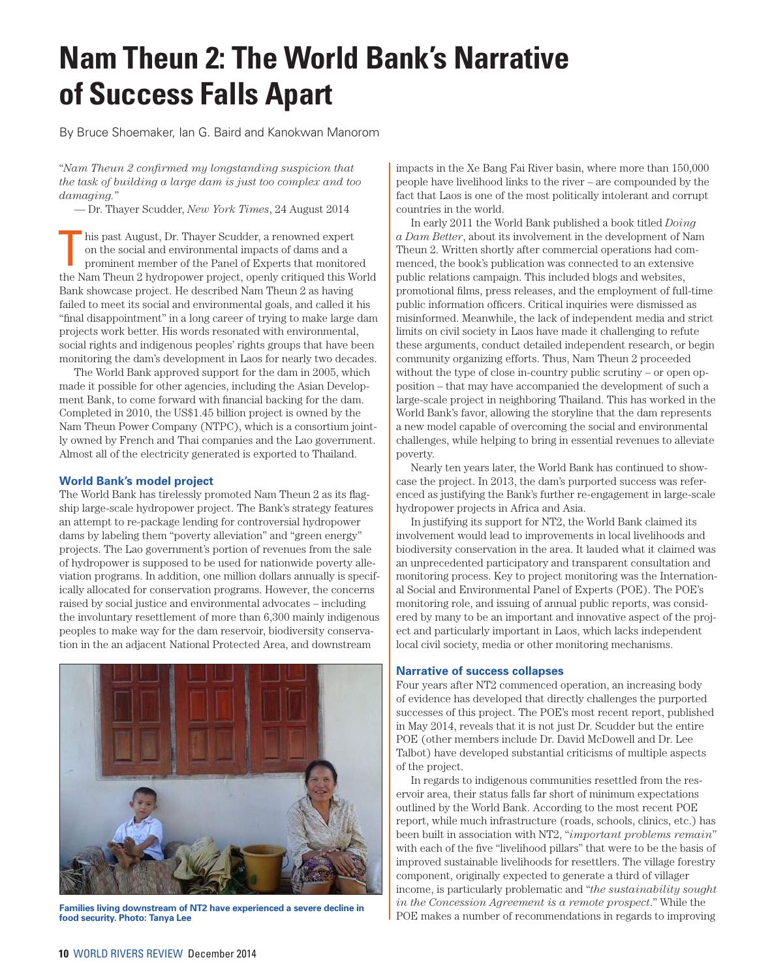# **Nam Theun 2: The World Bank's Narrative of Success Falls Apart**

By Bruce Shoemaker, Ian G. Baird and Kanokwan Manorom

"*Nam Theun 2 confirmed my longstanding suspicion that the task of building a large dam is just too complex and too damaging.*"

— Dr. Thayer Scudder, *New York Times*, 24 August 2014

his past August, Dr. Thayer Scudder, a renowned expert on the social and environmental impacts of dams and a prominent member of the Panel of Experts that monitored the Nam Theun 2 hydropower project, openly critiqued this World Bank showcase project. He described Nam Theun 2 as having failed to meet its social and environmental goals, and called it his "final disappointment" in a long career of trying to make large dam projects work better. His words resonated with environmental, social rights and indigenous peoples' rights groups that have been monitoring the dam's development in Laos for nearly two decades.

The World Bank approved support for the dam in 2005, which made it possible for other agencies, including the Asian Development Bank, to come forward with financial backing for the dam. Completed in 2010, the US\$1.45 billion project is owned by the Nam Theun Power Company (NTPC), which is a consortium jointly owned by French and Thai companies and the Lao government. Almost all of the electricity generated is exported to Thailand.

#### **World Bank's model project**

The World Bank has tirelessly promoted Nam Theun 2 as its flagship large-scale hydropower project. The Bank's strategy features an attempt to re-package lending for controversial hydropower dams by labeling them "poverty alleviation" and "green energy" projects. The Lao government's portion of revenues from the sale of hydropower is supposed to be used for nationwide poverty alleviation programs. In addition, one million dollars annually is specifically allocated for conservation programs. However, the concerns raised by social justice and environmental advocates – including the involuntary resettlement of more than 6,300 mainly indigenous peoples to make way for the dam reservoir, biodiversity conservation in the an adjacent National Protected Area, and downstream



**Families living downstream of NT2 have experienced a severe decline in food security. Photo: Tanya Lee**

impacts in the Xe Bang Fai River basin, where more than 150,000 people have livelihood links to the river – are compounded by the fact that Laos is one of the most politically intolerant and corrupt countries in the world.

In early 2011 the World Bank published a book titled *Doing a Dam Better*, about its involvement in the development of Nam Theun 2. Written shortly after commercial operations had commenced, the book's publication was connected to an extensive public relations campaign. This included blogs and websites, promotional films, press releases, and the employment of full-time public information officers. Critical inquiries were dismissed as misinformed. Meanwhile, the lack of independent media and strict limits on civil society in Laos have made it challenging to refute these arguments, conduct detailed independent research, or begin community organizing efforts. Thus, Nam Theun 2 proceeded without the type of close in-country public scrutiny – or open opposition – that may have accompanied the development of such a large-scale project in neighboring Thailand. This has worked in the World Bank's favor, allowing the storyline that the dam represents a new model capable of overcoming the social and environmental challenges, while helping to bring in essential revenues to alleviate poverty.

Nearly ten years later, the World Bank has continued to showcase the project. In 2013, the dam's purported success was referenced as justifying the Bank's further re-engagement in large-scale hydropower projects in Africa and Asia.

In justifying its support for NT2, the World Bank claimed its involvement would lead to improvements in local livelihoods and biodiversity conservation in the area. It lauded what it claimed was an unprecedented participatory and transparent consultation and monitoring process. Key to project monitoring was the International Social and Environmental Panel of Experts (POE). The POE's monitoring role, and issuing of annual public reports, was considered by many to be an important and innovative aspect of the project and particularly important in Laos, which lacks independent local civil society, media or other monitoring mechanisms.

#### **Narrative of success collapses**

Four years after NT2 commenced operation, an increasing body of evidence has developed that directly challenges the purported successes of this project. The POE's most recent report, published in May 2014, reveals that it is not just Dr. Scudder but the entire POE (other members include Dr. David McDowell and Dr. Lee Talbot) have developed substantial criticisms of multiple aspects of the project.

In regards to indigenous communities resettled from the reservoir area, their status falls far short of minimum expectations outlined by the World Bank. According to the most recent POE report, while much infrastructure (roads, schools, clinics, etc.) has been built in association with NT2, "*important problems remain*" with each of the five "livelihood pillars" that were to be the basis of improved sustainable livelihoods for resettlers. The village forestry component, originally expected to generate a third of villager income, is particularly problematic and "*the sustainability sought in the Concession Agreement is a remote prospect*." While the POE makes a number of recommendations in regards to improving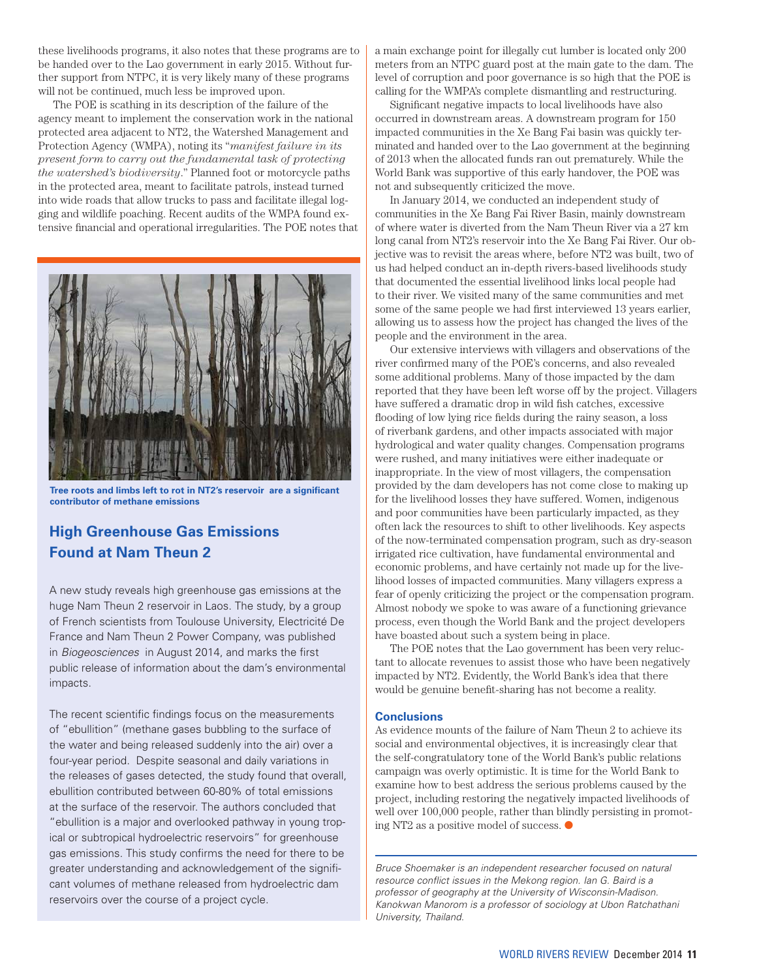these livelihoods programs, it also notes that these programs are to be handed over to the Lao government in early 2015. Without further support from NTPC, it is very likely many of these programs will not be continued, much less be improved upon.

The POE is scathing in its description of the failure of the agency meant to implement the conservation work in the national protected area adjacent to NT2, the Watershed Management and Protection Agency (WMPA), noting its "*manifest failure in its present form to carry out the fundamental task of protecting the watershed's biodiversity*." Planned foot or motorcycle paths in the protected area, meant to facilitate patrols, instead turned into wide roads that allow trucks to pass and facilitate illegal logging and wildlife poaching. Recent audits of the WMPA found extensive financial and operational irregularities. The POE notes that



**Tree roots and limbs left to rot in NT2's reservoir are a significant contributor of methane emissions**

## **High Greenhouse Gas Emissions Found at Nam Theun 2**

A new study reveals high greenhouse gas emissions at the huge Nam Theun 2 reservoir in Laos. The study, by a group of French scientists from Toulouse University, Electricité De France and Nam Theun 2 Power Company, was published in Biogeosciences in August 2014, and marks the first public release of information about the dam's environmental impacts.

The recent scientific findings focus on the measurements of "ebullition" (methane gases bubbling to the surface of the water and being released suddenly into the air) over a four-year period. Despite seasonal and daily variations in the releases of gases detected, the study found that overall, ebullition contributed between 60-80% of total emissions at the surface of the reservoir. The authors concluded that "ebullition is a major and overlooked pathway in young tropical or subtropical hydroelectric reservoirs" for greenhouse gas emissions. This study confirms the need for there to be greater understanding and acknowledgement of the significant volumes of methane released from hydroelectric dam reservoirs over the course of a project cycle.

a main exchange point for illegally cut lumber is located only 200 meters from an NTPC guard post at the main gate to the dam. The level of corruption and poor governance is so high that the POE is calling for the WMPA's complete dismantling and restructuring.

Significant negative impacts to local livelihoods have also occurred in downstream areas. A downstream program for 150 impacted communities in the Xe Bang Fai basin was quickly terminated and handed over to the Lao government at the beginning of 2013 when the allocated funds ran out prematurely. While the World Bank was supportive of this early handover, the POE was not and subsequently criticized the move.

In January 2014, we conducted an independent study of communities in the Xe Bang Fai River Basin, mainly downstream of where water is diverted from the Nam Theun River via a 27 km long canal from NT2's reservoir into the Xe Bang Fai River. Our objective was to revisit the areas where, before NT2 was built, two of us had helped conduct an in-depth rivers-based livelihoods study that documented the essential livelihood links local people had to their river. We visited many of the same communities and met some of the same people we had first interviewed 13 years earlier, allowing us to assess how the project has changed the lives of the people and the environment in the area.

Our extensive interviews with villagers and observations of the river confirmed many of the POE's concerns, and also revealed some additional problems. Many of those impacted by the dam reported that they have been left worse off by the project. Villagers have suffered a dramatic drop in wild fish catches, excessive flooding of low lying rice fields during the rainy season, a loss of riverbank gardens, and other impacts associated with major hydrological and water quality changes. Compensation programs were rushed, and many initiatives were either inadequate or inappropriate. In the view of most villagers, the compensation provided by the dam developers has not come close to making up for the livelihood losses they have suffered. Women, indigenous and poor communities have been particularly impacted, as they often lack the resources to shift to other livelihoods. Key aspects of the now-terminated compensation program, such as dry-season irrigated rice cultivation, have fundamental environmental and economic problems, and have certainly not made up for the livelihood losses of impacted communities. Many villagers express a fear of openly criticizing the project or the compensation program. Almost nobody we spoke to was aware of a functioning grievance process, even though the World Bank and the project developers have boasted about such a system being in place.

The POE notes that the Lao government has been very reluctant to allocate revenues to assist those who have been negatively impacted by NT2. Evidently, the World Bank's idea that there would be genuine benefit-sharing has not become a reality.

#### **Conclusions**

As evidence mounts of the failure of Nam Theun 2 to achieve its social and environmental objectives, it is increasingly clear that the self-congratulatory tone of the World Bank's public relations campaign was overly optimistic. It is time for the World Bank to examine how to best address the serious problems caused by the project, including restoring the negatively impacted livelihoods of well over 100,000 people, rather than blindly persisting in promoting NT2 as a positive model of success.  $\bullet$ 

Bruce Shoemaker is an independent researcher focused on natural resource conflict issues in the Mekong region. Ian G. Baird is a professor of geography at the University of Wisconsin-Madison. Kanokwan Manorom is a professor of sociology at Ubon Ratchathani University, Thailand.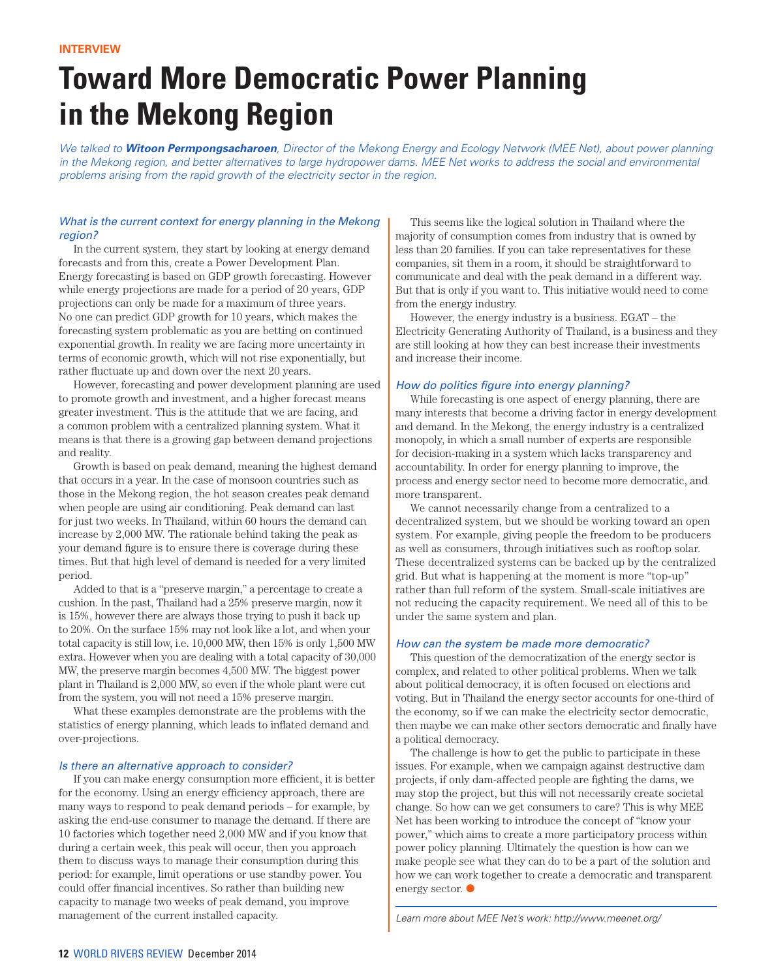# **Toward More Democratic Power Planning in the Mekong Region**

We talked to **Witoon Permpongsacharoen**, Director of the Mekong Energy and Ecology Network (MEE Net), about power planning in the Mekong region, and better alternatives to large hydropower dams. MEE Net works to address the social and environmental problems arising from the rapid growth of the electricity sector in the region.

#### What is the current context for energy planning in the Mekong region?

In the current system, they start by looking at energy demand forecasts and from this, create a Power Development Plan. Energy forecasting is based on GDP growth forecasting. However while energy projections are made for a period of 20 years, GDP projections can only be made for a maximum of three years. No one can predict GDP growth for 10 years, which makes the forecasting system problematic as you are betting on continued exponential growth. In reality we are facing more uncertainty in terms of economic growth, which will not rise exponentially, but rather fluctuate up and down over the next 20 years.

However, forecasting and power development planning are used to promote growth and investment, and a higher forecast means greater investment. This is the attitude that we are facing, and a common problem with a centralized planning system. What it means is that there is a growing gap between demand projections and reality.

Growth is based on peak demand, meaning the highest demand that occurs in a year. In the case of monsoon countries such as those in the Mekong region, the hot season creates peak demand when people are using air conditioning. Peak demand can last for just two weeks. In Thailand, within 60 hours the demand can increase by 2,000 MW. The rationale behind taking the peak as your demand figure is to ensure there is coverage during these times. But that high level of demand is needed for a very limited period.

Added to that is a "preserve margin," a percentage to create a cushion. In the past, Thailand had a 25% preserve margin, now it is 15%, however there are always those trying to push it back up to 20%. On the surface 15% may not look like a lot, and when your total capacity is still low, i.e. 10,000 MW, then 15% is only 1,500 MW extra. However when you are dealing with a total capacity of 30,000 MW, the preserve margin becomes 4,500 MW. The biggest power plant in Thailand is 2,000 MW, so even if the whole plant were cut from the system, you will not need a 15% preserve margin.

What these examples demonstrate are the problems with the statistics of energy planning, which leads to inflated demand and over-projections.

#### Is there an alternative approach to consider?

If you can make energy consumption more efficient, it is better for the economy. Using an energy efficiency approach, there are many ways to respond to peak demand periods – for example, by asking the end-use consumer to manage the demand. If there are 10 factories which together need 2,000 MW and if you know that during a certain week, this peak will occur, then you approach them to discuss ways to manage their consumption during this period: for example, limit operations or use standby power. You could offer financial incentives. So rather than building new capacity to manage two weeks of peak demand, you improve management of the current installed capacity.

This seems like the logical solution in Thailand where the majority of consumption comes from industry that is owned by less than 20 families. If you can take representatives for these companies, sit them in a room, it should be straightforward to communicate and deal with the peak demand in a different way. But that is only if you want to. This initiative would need to come from the energy industry.

However, the energy industry is a business. EGAT – the Electricity Generating Authority of Thailand, is a business and they are still looking at how they can best increase their investments and increase their income.

#### How do politics figure into energy planning?

While forecasting is one aspect of energy planning, there are many interests that become a driving factor in energy development and demand. In the Mekong, the energy industry is a centralized monopoly, in which a small number of experts are responsible for decision-making in a system which lacks transparency and accountability. In order for energy planning to improve, the process and energy sector need to become more democratic, and more transparent.

We cannot necessarily change from a centralized to a decentralized system, but we should be working toward an open system. For example, giving people the freedom to be producers as well as consumers, through initiatives such as rooftop solar. These decentralized systems can be backed up by the centralized grid. But what is happening at the moment is more "top-up" rather than full reform of the system. Small-scale initiatives are not reducing the capacity requirement. We need all of this to be under the same system and plan.

#### How can the system be made more democratic?

This question of the democratization of the energy sector is complex, and related to other political problems. When we talk about political democracy, it is often focused on elections and voting. But in Thailand the energy sector accounts for one-third of the economy, so if we can make the electricity sector democratic, then maybe we can make other sectors democratic and finally have a political democracy.

The challenge is how to get the public to participate in these issues. For example, when we campaign against destructive dam projects, if only dam-affected people are fighting the dams, we may stop the project, but this will not necessarily create societal change. So how can we get consumers to care? This is why MEE Net has been working to introduce the concept of "know your power," which aims to create a more participatory process within power policy planning. Ultimately the question is how can we make people see what they can do to be a part of the solution and how we can work together to create a democratic and transparent energy sector.  $\bullet$ 

Learn more about MEE Net's work: http://www.meenet.org/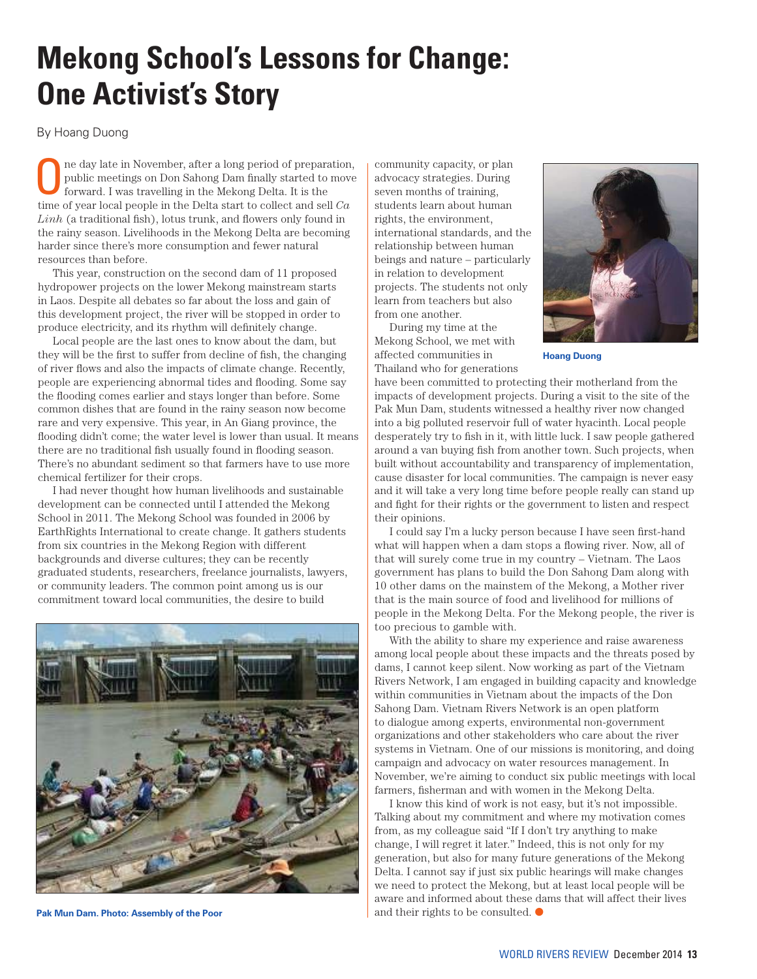# **Mekong School's Lessons for Change: One Activist's Story**

By Hoang Duong

ne day late in November, after a long period of preparation, public meetings on Don Sahong Dam finally started to move forward. I was travelling in the Mekong Delta. It is the time of year local people in the Delta start to collect and sell *Ca Linh* (a traditional fish), lotus trunk, and flowers only found in the rainy season. Livelihoods in the Mekong Delta are becoming harder since there's more consumption and fewer natural resources than before.

This year, construction on the second dam of 11 proposed hydropower projects on the lower Mekong mainstream starts in Laos. Despite all debates so far about the loss and gain of this development project, the river will be stopped in order to produce electricity, and its rhythm will definitely change.

Local people are the last ones to know about the dam, but they will be the first to suffer from decline of fish, the changing of river flows and also the impacts of climate change. Recently, people are experiencing abnormal tides and flooding. Some say the flooding comes earlier and stays longer than before. Some common dishes that are found in the rainy season now become rare and very expensive. This year, in An Giang province, the flooding didn't come; the water level is lower than usual. It means there are no traditional fish usually found in flooding season. There's no abundant sediment so that farmers have to use more chemical fertilizer for their crops.

I had never thought how human livelihoods and sustainable development can be connected until I attended the Mekong School in 2011. The Mekong School was founded in 2006 by EarthRights International to create change. It gathers students from six countries in the Mekong Region with different backgrounds and diverse cultures; they can be recently graduated students, researchers, freelance journalists, lawyers, or community leaders. The common point among us is our commitment toward local communities, the desire to build



**Pak Mun Dam. Photo: Assembly of the Poor**

community capacity, or plan advocacy strategies. During seven months of training, students learn about human rights, the environment, international standards, and the relationship between human beings and nature – particularly in relation to development projects. The students not only learn from teachers but also from one another.

During my time at the Mekong School, we met with affected communities in Thailand who for generations



**Hoang Duong**

have been committed to protecting their motherland from the impacts of development projects. During a visit to the site of the Pak Mun Dam, students witnessed a healthy river now changed into a big polluted reservoir full of water hyacinth. Local people desperately try to fish in it, with little luck. I saw people gathered around a van buying fish from another town. Such projects, when built without accountability and transparency of implementation, cause disaster for local communities. The campaign is never easy and it will take a very long time before people really can stand up and fight for their rights or the government to listen and respect their opinions.

I could say I'm a lucky person because I have seen first-hand what will happen when a dam stops a flowing river. Now, all of that will surely come true in my country – Vietnam. The Laos government has plans to build the Don Sahong Dam along with 10 other dams on the mainstem of the Mekong, a Mother river that is the main source of food and livelihood for millions of people in the Mekong Delta. For the Mekong people, the river is too precious to gamble with.

With the ability to share my experience and raise awareness among local people about these impacts and the threats posed by dams, I cannot keep silent. Now working as part of the Vietnam Rivers Network, I am engaged in building capacity and knowledge within communities in Vietnam about the impacts of the Don Sahong Dam. Vietnam Rivers Network is an open platform to dialogue among experts, environmental non-government organizations and other stakeholders who care about the river systems in Vietnam. One of our missions is monitoring, and doing campaign and advocacy on water resources management. In November, we're aiming to conduct six public meetings with local farmers, fisherman and with women in the Mekong Delta.

I know this kind of work is not easy, but it's not impossible. Talking about my commitment and where my motivation comes from, as my colleague said "If I don't try anything to make change, I will regret it later." Indeed, this is not only for my generation, but also for many future generations of the Mekong Delta. I cannot say if just six public hearings will make changes we need to protect the Mekong, but at least local people will be aware and informed about these dams that will affect their lives and their rights to be consulted.  $\bullet$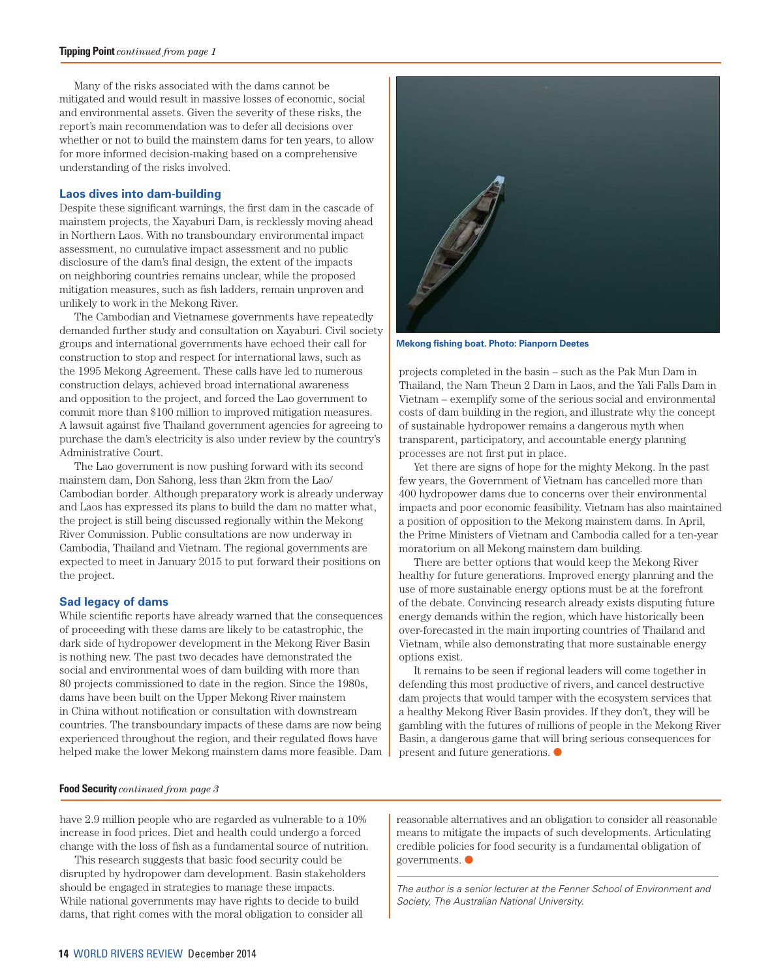Many of the risks associated with the dams cannot be mitigated and would result in massive losses of economic, social and environmental assets. Given the severity of these risks, the report's main recommendation was to defer all decisions over whether or not to build the mainstem dams for ten years, to allow for more informed decision-making based on a comprehensive understanding of the risks involved.

#### **Laos dives into dam-building**

Despite these significant warnings, the first dam in the cascade of mainstem projects, the Xayaburi Dam, is recklessly moving ahead in Northern Laos. With no transboundary environmental impact assessment, no cumulative impact assessment and no public disclosure of the dam's final design, the extent of the impacts on neighboring countries remains unclear, while the proposed mitigation measures, such as fish ladders, remain unproven and unlikely to work in the Mekong River.

The Cambodian and Vietnamese governments have repeatedly demanded further study and consultation on Xayaburi. Civil society groups and international governments have echoed their call for construction to stop and respect for international laws, such as the 1995 Mekong Agreement. These calls have led to numerous construction delays, achieved broad international awareness and opposition to the project, and forced the Lao government to commit more than \$100 million to improved mitigation measures. A lawsuit against five Thailand government agencies for agreeing to purchase the dam's electricity is also under review by the country's Administrative Court.

The Lao government is now pushing forward with its second mainstem dam, Don Sahong, less than 2km from the Lao/ Cambodian border. Although preparatory work is already underway and Laos has expressed its plans to build the dam no matter what, the project is still being discussed regionally within the Mekong River Commission. Public consultations are now underway in Cambodia, Thailand and Vietnam. The regional governments are expected to meet in January 2015 to put forward their positions on the project.

#### **Sad legacy of dams**

While scientific reports have already warned that the consequences of proceeding with these dams are likely to be catastrophic, the dark side of hydropower development in the Mekong River Basin is nothing new. The past two decades have demonstrated the social and environmental woes of dam building with more than 80 projects commissioned to date in the region. Since the 1980s, dams have been built on the Upper Mekong River mainstem in China without notification or consultation with downstream countries. The transboundary impacts of these dams are now being experienced throughout the region, and their regulated flows have helped make the lower Mekong mainstem dams more feasible. Dam



**Mekong fishing boat. Photo: Pianporn Deetes**

projects completed in the basin – such as the Pak Mun Dam in Thailand, the Nam Theun 2 Dam in Laos, and the Yali Falls Dam in Vietnam – exemplify some of the serious social and environmental costs of dam building in the region, and illustrate why the concept of sustainable hydropower remains a dangerous myth when transparent, participatory, and accountable energy planning processes are not first put in place.

Yet there are signs of hope for the mighty Mekong. In the past few years, the Government of Vietnam has cancelled more than 400 hydropower dams due to concerns over their environmental impacts and poor economic feasibility. Vietnam has also maintained a position of opposition to the Mekong mainstem dams. In April, the Prime Ministers of Vietnam and Cambodia called for a ten-year moratorium on all Mekong mainstem dam building.

There are better options that would keep the Mekong River healthy for future generations. Improved energy planning and the use of more sustainable energy options must be at the forefront of the debate. Convincing research already exists disputing future energy demands within the region, which have historically been over-forecasted in the main importing countries of Thailand and Vietnam, while also demonstrating that more sustainable energy options exist.

It remains to be seen if regional leaders will come together in defending this most productive of rivers, and cancel destructive dam projects that would tamper with the ecosystem services that a healthy Mekong River Basin provides. If they don't, they will be gambling with the futures of millions of people in the Mekong River Basin, a dangerous game that will bring serious consequences for present and future generations.  $\bullet$ 

#### **Food Security** *continued from page 3*

have 2.9 million people who are regarded as vulnerable to a 10% increase in food prices. Diet and health could undergo a forced change with the loss of fish as a fundamental source of nutrition.

This research suggests that basic food security could be disrupted by hydropower dam development. Basin stakeholders should be engaged in strategies to manage these impacts. While national governments may have rights to decide to build dams, that right comes with the moral obligation to consider all

reasonable alternatives and an obligation to consider all reasonable means to mitigate the impacts of such developments. Articulating credible policies for food security is a fundamental obligation of governments.  $\bullet$ 

The author is a senior lecturer at the Fenner School of Environment and Society, The Australian National University.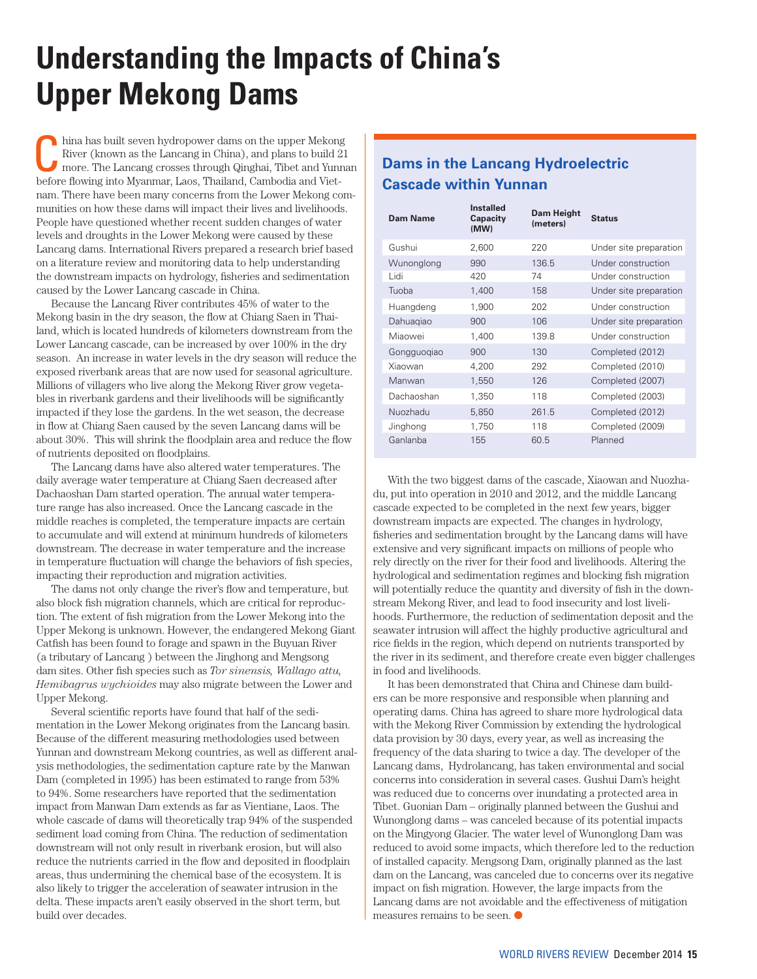# **Understanding the Impacts of China's Upper Mekong Dams**

hina has built seven hydropower dams on the upper Mekong<br>
River (known as the Lancang in China), and plans to build 21<br>
more. The Lancang crosses through Qinghai, Tibet and Yunnan<br>
hefore flowing into Myanmar Lee Theiland River (known as the Lancang in China), and plans to build 21 before flowing into Myanmar, Laos, Thailand, Cambodia and Vietnam. There have been many concerns from the Lower Mekong communities on how these dams will impact their lives and livelihoods. People have questioned whether recent sudden changes of water levels and droughts in the Lower Mekong were caused by these Lancang dams. International Rivers prepared a research brief based on a literature review and monitoring data to help understanding the downstream impacts on hydrology, fisheries and sedimentation caused by the Lower Lancang cascade in China.

Because the Lancang River contributes 45% of water to the Mekong basin in the dry season, the flow at Chiang Saen in Thailand, which is located hundreds of kilometers downstream from the Lower Lancang cascade, can be increased by over 100% in the dry season. An increase in water levels in the dry season will reduce the exposed riverbank areas that are now used for seasonal agriculture. Millions of villagers who live along the Mekong River grow vegetables in riverbank gardens and their livelihoods will be significantly impacted if they lose the gardens. In the wet season, the decrease in flow at Chiang Saen caused by the seven Lancang dams will be about 30%. This will shrink the floodplain area and reduce the flow of nutrients deposited on floodplains.

The Lancang dams have also altered water temperatures. The daily average water temperature at Chiang Saen decreased after Dachaoshan Dam started operation. The annual water temperature range has also increased. Once the Lancang cascade in the middle reaches is completed, the temperature impacts are certain to accumulate and will extend at minimum hundreds of kilometers downstream. The decrease in water temperature and the increase in temperature fluctuation will change the behaviors of fish species, impacting their reproduction and migration activities.

The dams not only change the river's flow and temperature, but also block fish migration channels, which are critical for reproduction. The extent of fish migration from the Lower Mekong into the Upper Mekong is unknown. However, the endangered Mekong Giant Catfish has been found to forage and spawn in the Buyuan River (a tributary of Lancang ) between the Jinghong and Mengsong dam sites. Other fish species such as *Tor sinensis, Wallago attu, Hemibagrus wychioides* may also migrate between the Lower and Upper Mekong.

Several scientific reports have found that half of the sedimentation in the Lower Mekong originates from the Lancang basin. Because of the different measuring methodologies used between Yunnan and downstream Mekong countries, as well as different analysis methodologies, the sedimentation capture rate by the Manwan Dam (completed in 1995) has been estimated to range from 53% to 94%. Some researchers have reported that the sedimentation impact from Manwan Dam extends as far as Vientiane, Laos. The whole cascade of dams will theoretically trap 94% of the suspended sediment load coming from China. The reduction of sedimentation downstream will not only result in riverbank erosion, but will also reduce the nutrients carried in the flow and deposited in floodplain areas, thus undermining the chemical base of the ecosystem. It is also likely to trigger the acceleration of seawater intrusion in the delta. These impacts aren't easily observed in the short term, but build over decades.

## **Dams in the Lancang Hydroelectric Cascade within Yunnan**

| Dam Name    | <b>Installed</b><br>Capacity<br>(MW) | Dam Height<br>(meters) | <b>Status</b>          |
|-------------|--------------------------------------|------------------------|------------------------|
| Gushui      | 2,600                                | 220                    | Under site preparation |
| Wunonglong  | 990                                  | 136.5                  | Under construction     |
| Lidi        | 420                                  | 74                     | Under construction     |
| Tuoba       | 1,400                                | 158                    | Under site preparation |
| Huangdeng   | 1,900                                | 202                    | Under construction     |
| Dahuagiao   | 900                                  | 106                    | Under site preparation |
| Miaowei     | 1,400                                | 139.8                  | Under construction     |
| Gongguogiao | 900                                  | 130                    | Completed (2012)       |
| Xiaowan     | 4,200                                | 292                    | Completed (2010)       |
| Manwan      | 1,550                                | 126                    | Completed (2007)       |
| Dachaoshan  | 1,350                                | 118                    | Completed (2003)       |
| Nuozhadu    | 5,850                                | 261.5                  | Completed (2012)       |
| Jinghong    | 1,750                                | 118                    | Completed (2009)       |
| Ganlanba    | 155                                  | 60.5                   | Planned                |

With the two biggest dams of the cascade, Xiaowan and Nuozhadu, put into operation in 2010 and 2012, and the middle Lancang cascade expected to be completed in the next few years, bigger downstream impacts are expected. The changes in hydrology, fisheries and sedimentation brought by the Lancang dams will have extensive and very significant impacts on millions of people who rely directly on the river for their food and livelihoods. Altering the hydrological and sedimentation regimes and blocking fish migration will potentially reduce the quantity and diversity of fish in the downstream Mekong River, and lead to food insecurity and lost livelihoods. Furthermore, the reduction of sedimentation deposit and the seawater intrusion will affect the highly productive agricultural and rice fields in the region, which depend on nutrients transported by the river in its sediment, and therefore create even bigger challenges in food and livelihoods.

It has been demonstrated that China and Chinese dam builders can be more responsive and responsible when planning and operating dams. China has agreed to share more hydrological data with the Mekong River Commission by extending the hydrological data provision by 30 days, every year, as well as increasing the frequency of the data sharing to twice a day. The developer of the Lancang dams, Hydrolancang, has taken environmental and social concerns into consideration in several cases. Gushui Dam's height was reduced due to concerns over inundating a protected area in Tibet. Guonian Dam – originally planned between the Gushui and Wunonglong dams – was canceled because of its potential impacts on the Mingyong Glacier. The water level of Wunonglong Dam was reduced to avoid some impacts, which therefore led to the reduction of installed capacity. Mengsong Dam, originally planned as the last dam on the Lancang, was canceled due to concerns over its negative impact on fish migration. However, the large impacts from the Lancang dams are not avoidable and the effectiveness of mitigation measures remains to be seen.  $\bullet$